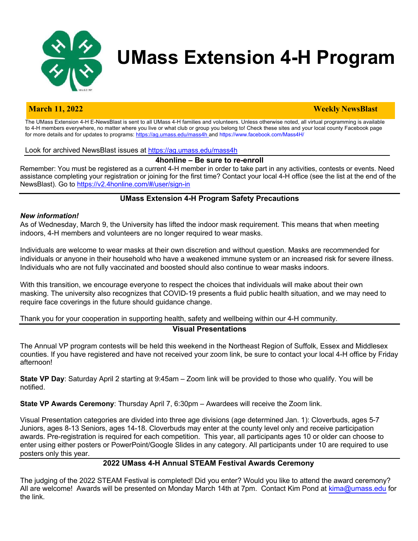

# **UMass Extension 4-H Program**

#### **March 11, 2022 Weekly NewsBlast**

The UMass Extension 4-H E-NewsBlast is sent to all UMass 4-H families and volunteers. Unless otherwise noted, all virtual programming is available to 4-H members everywhere, no matter where you live or what club or group you belong to! Check these sites and your local county Facebook page for more details and for updates to programs: https://ag.umass.edu/mass4h\_and https://www.facebook.com/Mass4H/

Look for archived NewsBlast issues at https://ag.umass.edu/mass4h

#### **4honline – Be sure to re-enroll**

Remember: You must be registered as a current 4-H member in order to take part in any activities, contests or events. Need assistance completing your registration or joining for the first time? Contact your local 4-H office (see the list at the end of the NewsBlast). Go to https://v2.4honline.com/#/user/sign-in

## **UMass Extension 4-H Program Safety Precautions**

#### *New information!*

As of Wednesday, March 9, the University has lifted the indoor mask requirement. This means that when meeting indoors, 4-H members and volunteers are no longer required to wear masks.

Individuals are welcome to wear masks at their own discretion and without question. Masks are recommended for individuals or anyone in their household who have a weakened immune system or an increased risk for severe illness. Individuals who are not fully vaccinated and boosted should also continue to wear masks indoors.

With this transition, we encourage everyone to respect the choices that individuals will make about their own masking. The university also recognizes that COVID-19 presents a fluid public health situation, and we may need to require face coverings in the future should guidance change.

## Thank you for your cooperation in supporting health, safety and wellbeing within our 4-H community. **Visual Presentations**

The Annual VP program contests will be held this weekend in the Northeast Region of Suffolk, Essex and Middlesex counties. If you have registered and have not received your zoom link, be sure to contact your local 4-H office by Friday afternoon!

**State VP Day**: Saturday April 2 starting at 9:45am – Zoom link will be provided to those who qualify. You will be notified.

**State VP Awards Ceremony**: Thursday April 7, 6:30pm – Awardees will receive the Zoom link.

Visual Presentation categories are divided into three age divisions (age determined Jan. 1): Cloverbuds, ages 5-7 Juniors, ages 8-13 Seniors, ages 14-18. Cloverbuds may enter at the county level only and receive participation awards. Pre-registration is required for each competition. This year, all participants ages 10 or older can choose to enter using either posters or PowerPoint/Google Slides in any category. All participants under 10 are required to use posters only this year.

# **2022 UMass 4-H Annual STEAM Festival Awards Ceremony**

The judging of the 2022 STEAM Festival is completed! Did you enter? Would you like to attend the award ceremony? All are welcome! Awards will be presented on Monday March 14th at 7pm. Contact Kim Pond at kima@umass.edu for the link.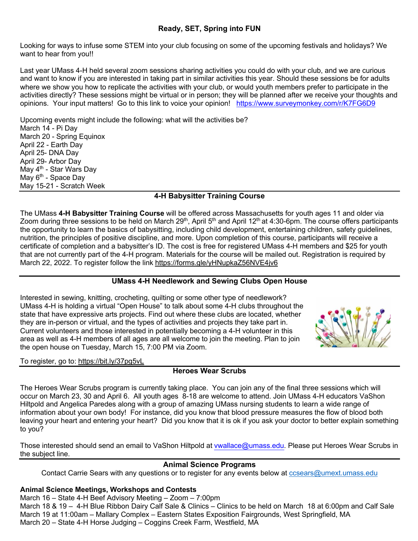# **Ready, SET, Spring into FUN**

Looking for ways to infuse some STEM into your club focusing on some of the upcoming festivals and holidays? We want to hear from you!!

Last year UMass 4-H held several zoom sessions sharing activities you could do with your club, and we are curious and want to know if you are interested in taking part in similar activities this year. Should these sessions be for adults where we show you how to replicate the activities with your club, or would youth members prefer to participate in the activities directly? These sessions might be virtual or in person; they will be planned after we receive your thoughts and opinions. Your input matters! Go to this link to voice your opinion! https://www.surveymonkey.com/r/K7FG6D9

Upcoming events might include the following: what will the activities be? March 14 - Pi Day March 20 - Spring Equinox April 22 - Earth Day April 25- DNA Day April 29- Arbor Day May 4<sup>th</sup> - Star Wars Day May 6<sup>th</sup> - Space Day May 15-21 - Scratch Week

# **4-H Babysitter Training Course**

The UMass **4-H Babysitter Training Course** will be offered across Massachusetts for youth ages 11 and older via Zoom during three sessions to be held on March 29<sup>th</sup>, April 5<sup>th</sup> and April 12<sup>th</sup> at 4:30-6pm. The course offers participants the opportunity to learn the basics of babysitting, including child development, entertaining children, safety guidelines, nutrition, the principles of positive discipline, and more. Upon completion of this course, participants will receive a certificate of completion and a babysitter's ID. The cost is free for registered UMass 4-H members and \$25 for youth that are not currently part of the 4-H program. Materials for the course will be mailed out. Registration is required by March 22, 2022. To register follow the link https://forms.gle/yHNupkaZ56NVE4jv6

# **UMass 4-H Needlework and Sewing Clubs Open House**

Interested in sewing, knitting, crocheting, quilting or some other type of needlework? UMass 4-H is holding a virtual "Open House" to talk about some 4-H clubs throughout the state that have expressive arts projects. Find out where these clubs are located, whether they are in-person or virtual, and the types of activities and projects they take part in. Current volunteers and those interested in potentially becoming a 4-H volunteer in this area as well as 4-H members of all ages are all welcome to join the meeting. Plan to join the open house on Tuesday, March 15, 7:00 PM via Zoom.

# To register, go to: https://bit.ly/37pg5vL

# **Heroes Wear Scrubs**

The Heroes Wear Scrubs program is currently taking place. You can join any of the final three sessions which will occur on March 23, 30 and April 6. All youth ages 8-18 are welcome to attend. Join UMass 4-H educators VaShon Hiltpold and Angelica Paredes along with a group of amazing UMass nursing students to learn a wide range of information about your own body! For instance, did you know that blood pressure measures the flow of blood both leaving your heart and entering your heart? Did you know that it is ok if you ask your doctor to better explain something to you?

Those interested should send an email to VaShon Hiltpold at vwallace@umass.edu. Please put Heroes Wear Scrubs in the subject line.

# **Animal Science Programs**

Contact Carrie Sears with any questions or to register for any events below at ccsears@umext.umass.edu

# **Animal Science Meetings, Workshops and Contests**

March 16 – State 4-H Beef Advisory Meeting – Zoom – 7:00pm March 18 & 19 – 4-H Blue Ribbon Dairy Calf Sale & Clinics – Clinics to be held on March 18 at 6:00pm and Calf Sale March 19 at 11:00am – Mallary Complex – Eastern States Exposition Fairgrounds, West Springfield, MA March 20 – State 4-H Horse Judging – Coggins Creek Farm, Westfield, MA

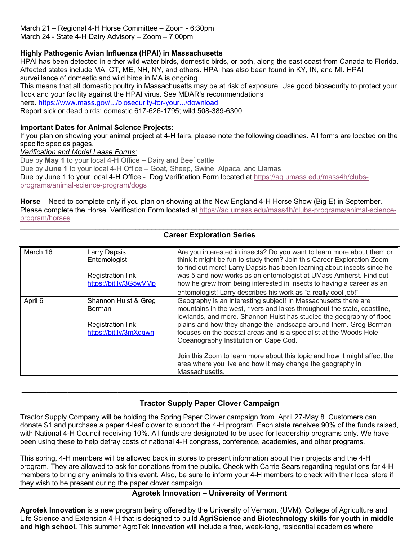March 21 – Regional 4-H Horse Committee – Zoom - 6:30pm March 24 - State 4-H Dairy Advisory – Zoom – 7:00pm

# **Highly Pathogenic Avian Influenza (HPAI) in Massachusetts**

HPAI has been detected in either wild water birds, domestic birds, or both, along the east coast from Canada to Florida. Affected states include MA, CT, ME, NH, NY, and others. HPAI has also been found in KY, IN, and MI. HPAI surveillance of domestic and wild birds in MA is ongoing.

This means that all domestic poultry in Massachusetts may be at risk of exposure. Use good biosecurity to protect your flock and your facility against the HPAI virus. See MDAR's recommendations

here. https://www.mass.gov/.../biosecurity-for-your.../download

Report sick or dead birds: domestic 617-626-1795; wild 508-389-6300.

#### **Important Dates for Animal Science Projects:**

If you plan on showing your animal project at 4-H fairs, please note the following deadlines. All forms are located on the specific species pages.

*Verification and Model Lease Forms:*

Due by **May 1** to your local 4-H Office – Dairy and Beef cattle

Due by **June 1** to your local 4-H Office – Goat, Sheep, Swine Alpaca, and Llamas

Due by June 1 to your local 4-H Office - Dog Verification Form located at https://ag.umass.edu/mass4h/clubsprograms/animal-science-program/dogs

**Horse** – Need to complete only if you plan on showing at the New England 4-H Horse Show (Big E) in September. Please complete the Horse Verification Form located at https://ag.umass.edu/mass4h/clubs-programs/animal-scienceprogram/horses

## **Career Exploration Series**

| March 16 | Larry Dapsis<br>Entomologist | Are you interested in insects? Do you want to learn more about them or<br>think it might be fun to study them? Join this Career Exploration Zoom |
|----------|------------------------------|--------------------------------------------------------------------------------------------------------------------------------------------------|
|          |                              | to find out more! Larry Dapsis has been learning about insects since he                                                                          |
|          | Registration link:           | was 5 and now works as an entomologist at UMass Amherst. Find out                                                                                |
|          | https://bit.ly/3G5wVMp       | how he grew from being interested in insects to having a career as an                                                                            |
|          |                              | entomologist! Larry describes his work as "a really cool job!"                                                                                   |
| April 6  | Shannon Hulst & Greg         | Geography is an interesting subject! In Massachusetts there are                                                                                  |
|          | Berman                       | mountains in the west, rivers and lakes throughout the state, coastline,                                                                         |
|          |                              | lowlands, and more. Shannon Hulst has studied the geography of flood                                                                             |
|          | Registration link:           | plains and how they change the landscape around them. Greg Berman                                                                                |
|          | https://bit.ly/3mXqqwn       | focuses on the coastal areas and is a specialist at the Woods Hole                                                                               |
|          |                              | Oceanography Institution on Cape Cod.                                                                                                            |
|          |                              | Join this Zoom to learn more about this topic and how it might affect the                                                                        |
|          |                              | area where you live and how it may change the geography in                                                                                       |
|          |                              | Massachusetts.                                                                                                                                   |

# **Tractor Supply Paper Clover Campaign**

**\_\_\_\_\_\_\_\_\_\_\_\_\_\_\_\_\_\_\_\_\_\_\_\_\_\_\_\_\_\_\_\_\_\_\_\_\_\_\_\_\_\_\_\_\_\_\_\_\_\_\_\_\_\_\_\_\_\_\_\_\_\_\_\_\_\_\_\_\_\_\_\_\_\_\_\_\_\_\_\_\_\_\_\_\_\_\_\_\_\_**

Tractor Supply Company will be holding the Spring Paper Clover campaign from April 27-May 8. Customers can donate \$1 and purchase a paper 4-leaf clover to support the 4-H program. Each state receives 90% of the funds raised, with National 4-H Council receiving 10%. All funds are designated to be used for leadership programs only. We have been using these to help defray costs of national 4-H congress, conference, academies, and other programs.

This spring, 4-H members will be allowed back in stores to present information about their projects and the 4-H program. They are allowed to ask for donations from the public. Check with Carrie Sears regarding regulations for 4-H members to bring any animals to this event. Also, be sure to inform your 4-H members to check with their local store if they wish to be present during the paper clover campaign.

# **Agrotek Innovation – University of Vermont**

**Agrotek Innovation** is a new program being offered by the University of Vermont (UVM). College of Agriculture and Life Science and Extension 4-H that is designed to build **AgriScience and Biotechnology skills for youth in middle and high school.** This summer AgroTek Innovation will include a free, week-long, residential academies where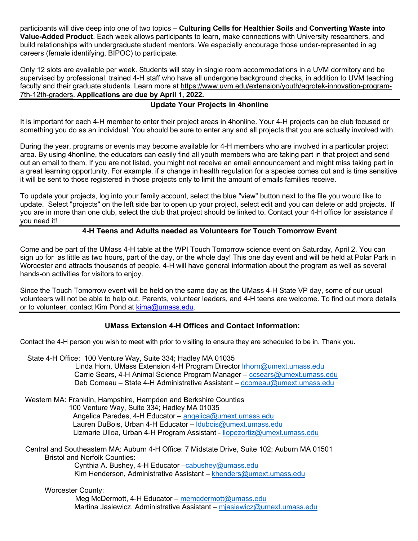participants will dive deep into one of two topics – **Culturing Cells for Healthier Soils** and **Converting Waste into Value-Added Product**. Each week allows participants to learn, make connections with University researchers, and build relationships with undergraduate student mentors. We especially encourage those under-represented in ag careers (female identifying, BIPOC) to participate.

Only 12 slots are available per week. Students will stay in single room accommodations in a UVM dormitory and be supervised by professional, trained 4-H staff who have all undergone background checks, in addition to UVM teaching faculty and their graduate students. Learn more at https://www.uvm.edu/extension/youth/agrotek-innovation-program-7th-12th-graders. **Applications are due by April 1, 2022.**

# **Update Your Projects in 4honline**

It is important for each 4-H member to enter their project areas in 4honline. Your 4-H projects can be club focused or something you do as an individual. You should be sure to enter any and all projects that you are actually involved with.

During the year, programs or events may become available for 4-H members who are involved in a particular project area. By using 4honline, the educators can easily find all youth members who are taking part in that project and send out an email to them. If you are not listed, you might not receive an email announcement and might miss taking part in a great learning opportunity. For example. if a change in health regulation for a species comes out and is time sensitive it will be sent to those registered in those projects only to limit the amount of emails families receive.

To update your projects, log into your family account, select the blue "view" button next to the file you would like to update. Select "projects" on the left side bar to open up your project, select edit and you can delete or add projects. If you are in more than one club, select the club that project should be linked to. Contact your 4-H office for assistance if you need it!

# **4-H Teens and Adults needed as Volunteers for Touch Tomorrow Event**

Come and be part of the UMass 4-H table at the WPI Touch Tomorrow science event on Saturday, April 2. You can sign up for as little as two hours, part of the day, or the whole day! This one day event and will be held at Polar Park in Worcester and attracts thousands of people. 4-H will have general information about the program as well as several hands-on activities for visitors to enjoy.

Since the Touch Tomorrow event will be held on the same day as the UMass 4-H State VP day, some of our usual volunteers will not be able to help out. Parents, volunteer leaders, and 4-H teens are welcome. To find out more details or to volunteer, contact Kim Pond at kima@umass.edu.

# **UMass Extension 4-H Offices and Contact Information:**

Contact the 4-H person you wish to meet with prior to visiting to ensure they are scheduled to be in. Thank you.

State 4-H Office: 100 Venture Way, Suite 334; Hadley MA 01035 Linda Horn, UMass Extension 4-H Program Director lrhorn@umext.umass.edu Carrie Sears, 4-H Animal Science Program Manager – ccsears@umext.umass.edu Deb Comeau – State 4-H Administrative Assistant – dcomeau@umext.umass.edu

Western MA: Franklin, Hampshire, Hampden and Berkshire Counties 100 Venture Way, Suite 334; Hadley MA 01035 Angelica Paredes, 4-H Educator – angelica@umext.umass.edu Lauren DuBois, Urban 4-H Educator – ldubois@umext.umass.edu Lizmarie Ulloa, Urban 4-H Program Assistant - llopezortiz@umext.umass.edu

Central and Southeastern MA: Auburn 4-H Office: 7 Midstate Drive, Suite 102; Auburn MA 01501 Bristol and Norfolk Counties:

Cynthia A. Bushey, 4-H Educator -cabushey@umass.edu Kim Henderson, Administrative Assistant – khenders@umext.umass.edu

Worcester County:

 Meg McDermott, 4-H Educator – memcdermott@umass.edu Martina Jasiewicz, Administrative Assistant – mjasiewicz@umext.umass.edu